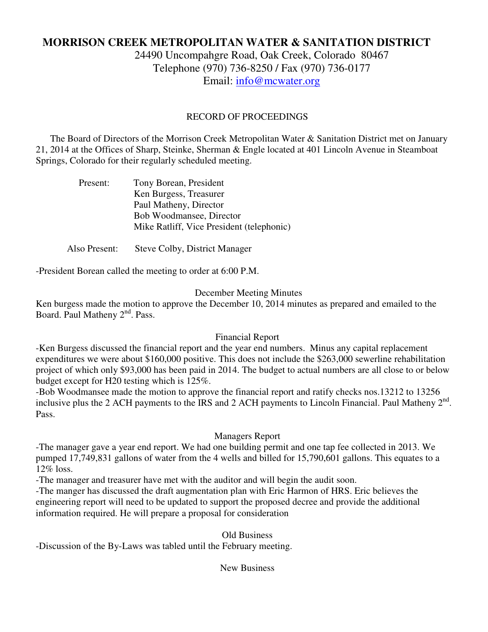# **MORRISON CREEK METROPOLITAN WATER & SANITATION DISTRICT**

24490 Uncompahgre Road, Oak Creek, Colorado 80467 Telephone (970) 736-8250 / Fax (970) 736-0177 Email: info@mcwater.org

# RECORD OF PROCEEDINGS

 The Board of Directors of the Morrison Creek Metropolitan Water & Sanitation District met on January 21, 2014 at the Offices of Sharp, Steinke, Sherman & Engle located at 401 Lincoln Avenue in Steamboat Springs, Colorado for their regularly scheduled meeting.

| Present: | Tony Borean, President                    |
|----------|-------------------------------------------|
|          | Ken Burgess, Treasurer                    |
|          | Paul Matheny, Director                    |
|          | Bob Woodmansee, Director                  |
|          | Mike Ratliff, Vice President (telephonic) |
|          |                                           |

Also Present: Steve Colby, District Manager

-President Borean called the meeting to order at 6:00 P.M.

## December Meeting Minutes

Ken burgess made the motion to approve the December 10, 2014 minutes as prepared and emailed to the Board. Paul Matheny 2<sup>nd</sup>. Pass.

#### Financial Report

-Ken Burgess discussed the financial report and the year end numbers. Minus any capital replacement expenditures we were about \$160,000 positive. This does not include the \$263,000 sewerline rehabilitation project of which only \$93,000 has been paid in 2014. The budget to actual numbers are all close to or below budget except for H20 testing which is 125%.

-Bob Woodmansee made the motion to approve the financial report and ratify checks nos.13212 to 13256 inclusive plus the 2 ACH payments to the IRS and 2 ACH payments to Lincoln Financial. Paul Matheny  $2<sup>nd</sup>$ . Pass.

#### Managers Report

-The manager gave a year end report. We had one building permit and one tap fee collected in 2013. We pumped 17,749,831 gallons of water from the 4 wells and billed for 15,790,601 gallons. This equates to a 12% loss.

-The manager and treasurer have met with the auditor and will begin the audit soon.

-The manger has discussed the draft augmentation plan with Eric Harmon of HRS. Eric believes the engineering report will need to be updated to support the proposed decree and provide the additional information required. He will prepare a proposal for consideration

# Old Business

-Discussion of the By-Laws was tabled until the February meeting.

## New Business